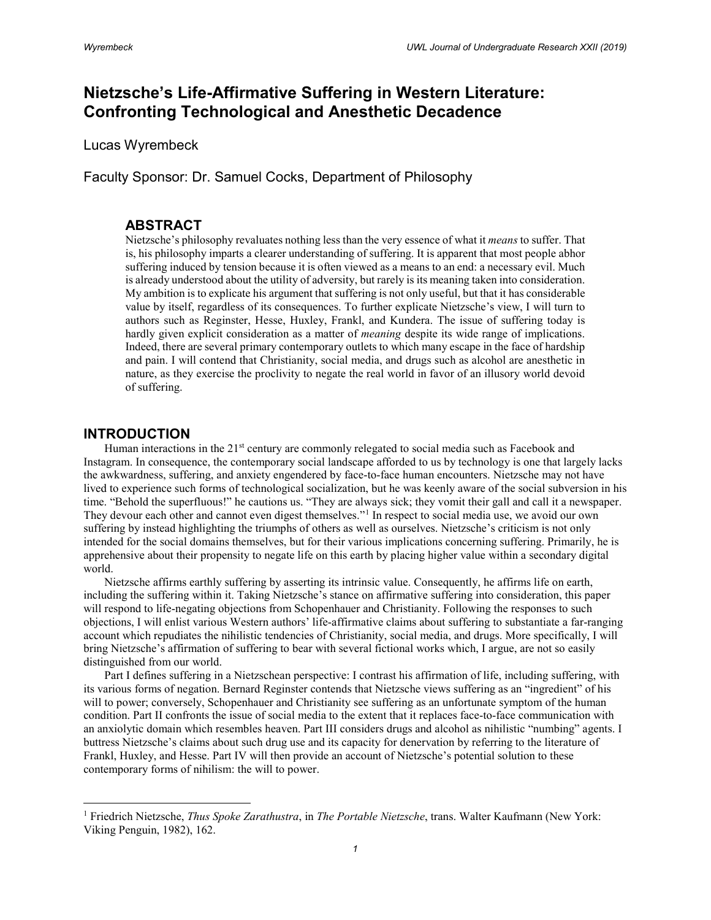# **Nietzsche's Life-Affirmative Suffering in Western Literature: Confronting Technological and Anesthetic Decadence**

Lucas Wyrembeck

Faculty Sponsor: Dr. Samuel Cocks, Department of Philosophy

# **ABSTRACT**

Nietzsche's philosophy revaluates nothing less than the very essence of what it *means* to suffer. That is, his philosophy imparts a clearer understanding of suffering. It is apparent that most people abhor suffering induced by tension because it is often viewed as a means to an end: a necessary evil. Much is already understood about the utility of adversity, but rarely is its meaning taken into consideration. My ambition is to explicate his argument that suffering is not only useful, but that it has considerable value by itself, regardless of its consequences. To further explicate Nietzsche's view, I will turn to authors such as Reginster, Hesse, Huxley, Frankl, and Kundera. The issue of suffering today is hardly given explicit consideration as a matter of *meaning* despite its wide range of implications. Indeed, there are several primary contemporary outlets to which many escape in the face of hardship and pain. I will contend that Christianity, social media, and drugs such as alcohol are anesthetic in nature, as they exercise the proclivity to negate the real world in favor of an illusory world devoid of suffering.

# **INTRODUCTION**

l

Human interactions in the  $21<sup>st</sup>$  century are commonly relegated to social media such as Facebook and Instagram. In consequence, the contemporary social landscape afforded to us by technology is one that largely lacks the awkwardness, suffering, and anxiety engendered by face-to-face human encounters. Nietzsche may not have lived to experience such forms of technological socialization, but he was keenly aware of the social subversion in his time. "Behold the superfluous!" he cautions us. "They are always sick; they vomit their gall and call it a newspaper. They devour each other and cannot even digest themselves."<sup>[1](#page-0-0)</sup> In respect to social media use, we avoid our own suffering by instead highlighting the triumphs of others as well as ourselves. Nietzsche's criticism is not only intended for the social domains themselves, but for their various implications concerning suffering. Primarily, he is apprehensive about their propensity to negate life on this earth by placing higher value within a secondary digital world.

Nietzsche affirms earthly suffering by asserting its intrinsic value. Consequently, he affirms life on earth, including the suffering within it. Taking Nietzsche's stance on affirmative suffering into consideration, this paper will respond to life-negating objections from Schopenhauer and Christianity. Following the responses to such objections, I will enlist various Western authors' life-affirmative claims about suffering to substantiate a far-ranging account which repudiates the nihilistic tendencies of Christianity, social media, and drugs. More specifically, I will bring Nietzsche's affirmation of suffering to bear with several fictional works which, I argue, are not so easily distinguished from our world.

Part I defines suffering in a Nietzschean perspective: I contrast his affirmation of life, including suffering, with its various forms of negation. Bernard Reginster contends that Nietzsche views suffering as an "ingredient" of his will to power; conversely, Schopenhauer and Christianity see suffering as an unfortunate symptom of the human condition. Part II confronts the issue of social media to the extent that it replaces face-to-face communication with an anxiolytic domain which resembles heaven. Part III considers drugs and alcohol as nihilistic "numbing" agents. I buttress Nietzsche's claims about such drug use and its capacity for denervation by referring to the literature of Frankl, Huxley, and Hesse. Part IV will then provide an account of Nietzsche's potential solution to these contemporary forms of nihilism: the will to power.

<span id="page-0-0"></span><sup>1</sup> Friedrich Nietzsche, *Thus Spoke Zarathustra*, in *The Portable Nietzsche*, trans. Walter Kaufmann (New York: Viking Penguin, 1982), 162.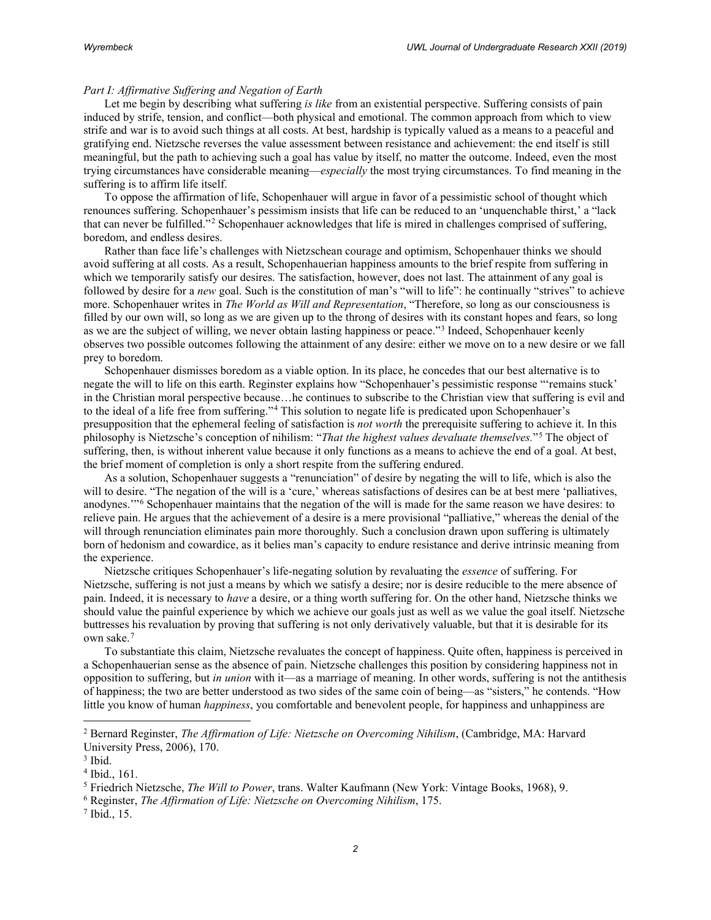### *Part I: Affirmative Suffering and Negation of Earth*

Let me begin by describing what suffering *is like* from an existential perspective. Suffering consists of pain induced by strife, tension, and conflict—both physical and emotional. The common approach from which to view strife and war is to avoid such things at all costs. At best, hardship is typically valued as a means to a peaceful and gratifying end. Nietzsche reverses the value assessment between resistance and achievement: the end itself is still meaningful, but the path to achieving such a goal has value by itself, no matter the outcome. Indeed, even the most trying circumstances have considerable meaning—*especially* the most trying circumstances. To find meaning in the suffering is to affirm life itself.

To oppose the affirmation of life, Schopenhauer will argue in favor of a pessimistic school of thought which renounces suffering. Schopenhauer's pessimism insists that life can be reduced to an 'unquenchable thirst,' a "lack that can never be fulfilled."[2](#page-1-0) Schopenhauer acknowledges that life is mired in challenges comprised of suffering, boredom, and endless desires.

Rather than face life's challenges with Nietzschean courage and optimism, Schopenhauer thinks we should avoid suffering at all costs. As a result, Schopenhauerian happiness amounts to the brief respite from suffering in which we temporarily satisfy our desires. The satisfaction, however, does not last. The attainment of any goal is followed by desire for a *new* goal. Such is the constitution of man's "will to life": he continually "strives" to achieve more. Schopenhauer writes in *The World as Will and Representation*, "Therefore, so long as our consciousness is filled by our own will, so long as we are given up to the throng of desires with its constant hopes and fears, so long as we are the subject of willing, we never obtain lasting happiness or peace."[3](#page-1-1) Indeed, Schopenhauer keenly observes two possible outcomes following the attainment of any desire: either we move on to a new desire or we fall prey to boredom.

Schopenhauer dismisses boredom as a viable option. In its place, he concedes that our best alternative is to negate the will to life on this earth. Reginster explains how "Schopenhauer's pessimistic response "'remains stuck' in the Christian moral perspective because…he continues to subscribe to the Christian view that suffering is evil and to the ideal of a life free from suffering."[4](#page-1-2) This solution to negate life is predicated upon Schopenhauer's presupposition that the ephemeral feeling of satisfaction is *not worth* the prerequisite suffering to achieve it. In this philosophy is Nietzsche's conception of nihilism: "*That the highest values devaluate themselves.*"[5](#page-1-3) The object of suffering, then, is without inherent value because it only functions as a means to achieve the end of a goal. At best, the brief moment of completion is only a short respite from the suffering endured.

As a solution, Schopenhauer suggests a "renunciation" of desire by negating the will to life, which is also the will to desire. "The negation of the will is a 'cure,' whereas satisfactions of desires can be at best mere 'palliatives, anodynes.'"[6](#page-1-4) Schopenhauer maintains that the negation of the will is made for the same reason we have desires: to relieve pain. He argues that the achievement of a desire is a mere provisional "palliative," whereas the denial of the will through renunciation eliminates pain more thoroughly. Such a conclusion drawn upon suffering is ultimately born of hedonism and cowardice, as it belies man's capacity to endure resistance and derive intrinsic meaning from the experience.

Nietzsche critiques Schopenhauer's life-negating solution by revaluating the *essence* of suffering. For Nietzsche, suffering is not just a means by which we satisfy a desire; nor is desire reducible to the mere absence of pain. Indeed, it is necessary to *have* a desire, or a thing worth suffering for. On the other hand, Nietzsche thinks we should value the painful experience by which we achieve our goals just as well as we value the goal itself. Nietzsche buttresses his revaluation by proving that suffering is not only derivatively valuable, but that it is desirable for its own sake.[7](#page-1-5)

To substantiate this claim, Nietzsche revaluates the concept of happiness. Quite often, happiness is perceived in a Schopenhauerian sense as the absence of pain. Nietzsche challenges this position by considering happiness not in opposition to suffering, but *in union* with it—as a marriage of meaning. In other words, suffering is not the antithesis of happiness; the two are better understood as two sides of the same coin of being—as "sisters," he contends. "How little you know of human *happiness*, you comfortable and benevolent people, for happiness and unhappiness are

<span id="page-1-0"></span><sup>2</sup> Bernard Reginster, *The Affirmation of Life: Nietzsche on Overcoming Nihilism*, (Cambridge, MA: Harvard University Press, 2006), 170.

<span id="page-1-1"></span> $3$  Ibid.

<span id="page-1-3"></span><span id="page-1-2"></span><sup>&</sup>lt;sup>4</sup> Ibid., 161.<br><sup>5</sup> Friedrich Nietzsche, *The Will to Power*, trans. Walter Kaufmann (New York: Vintage Books, 1968), 9.

<span id="page-1-4"></span><sup>6</sup> Reginster, *The Affirmation of Life: Nietzsche on Overcoming Nihilism*, 175.

<span id="page-1-5"></span><sup>7</sup> Ibid., 15.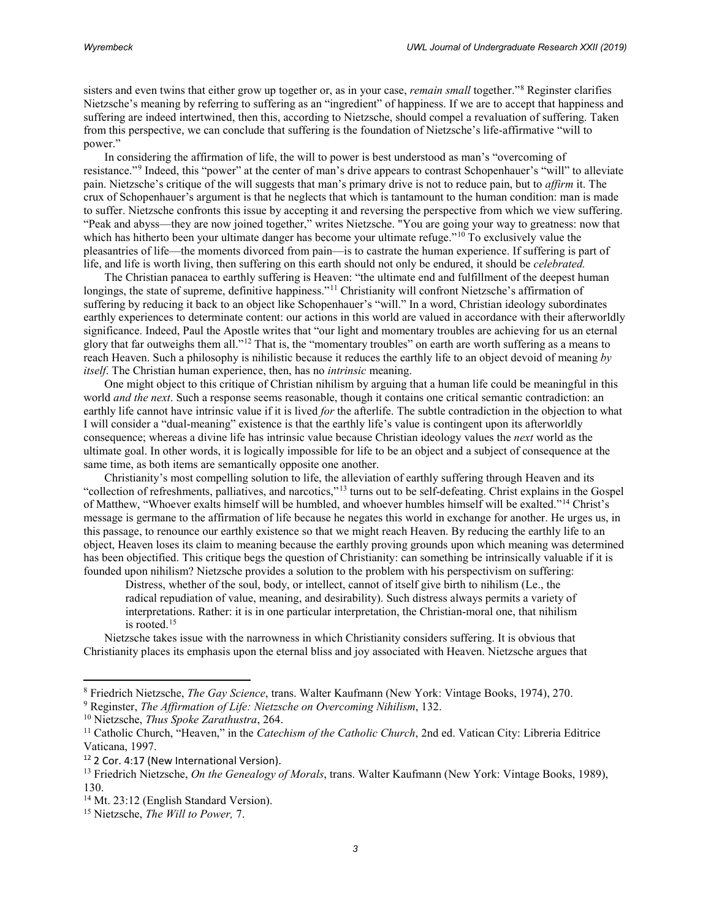sisters and even twins that either grow up together or, as in your case, *remain small* together."[8](#page-2-0) Reginster clarifies Nietzsche's meaning by referring to suffering as an "ingredient" of happiness. If we are to accept that happiness and suffering are indeed intertwined, then this, according to Nietzsche, should compel a revaluation of suffering. Taken from this perspective, we can conclude that suffering is the foundation of Nietzsche's life-affirmative "will to power."

In considering the affirmation of life, the will to power is best understood as man's "overcoming of resistance."[9](#page-2-1) Indeed, this "power" at the center of man's drive appears to contrast Schopenhauer's "will" to alleviate pain. Nietzsche's critique of the will suggests that man's primary drive is not to reduce pain, but to *affirm* it. The crux of Schopenhauer's argument is that he neglects that which is tantamount to the human condition: man is made to suffer. Nietzsche confronts this issue by accepting it and reversing the perspective from which we view suffering. "Peak and abyss—they are now joined together," writes Nietzsche. "You are going your way to greatness: now that which has hitherto been your ultimate danger has become your ultimate refuge."<sup>[10](#page-2-2)</sup> To exclusively value the pleasantries of life—the moments divorced from pain—is to castrate the human experience. If suffering is part of life, and life is worth living, then suffering on this earth should not only be endured, it should be *celebrated.*

The Christian panacea to earthly suffering is Heaven: "the ultimate end and fulfillment of the deepest human longings, the state of supreme, definitive happiness."<sup>[11](#page-2-3)</sup> Christianity will confront Nietzsche's affirmation of suffering by reducing it back to an object like Schopenhauer's "will." In a word, Christian ideology subordinates earthly experiences to determinate content: our actions in this world are valued in accordance with their afterworldly significance. Indeed, Paul the Apostle writes that "our light and momentary troubles are achieving for us an eternal glory that far outweighs them all."[12](#page-2-4) That is, the "momentary troubles" on earth are worth suffering as a means to reach Heaven. Such a philosophy is nihilistic because it reduces the earthly life to an object devoid of meaning *by itself*. The Christian human experience, then, has no *intrinsic* meaning.

One might object to this critique of Christian nihilism by arguing that a human life could be meaningful in this world *and the next*. Such a response seems reasonable, though it contains one critical semantic contradiction: an earthly life cannot have intrinsic value if it is lived *for* the afterlife. The subtle contradiction in the objection to what I will consider a "dual-meaning" existence is that the earthly life's value is contingent upon its afterworldly consequence; whereas a divine life has intrinsic value because Christian ideology values the *next* world as the ultimate goal. In other words, it is logically impossible for life to be an object and a subject of consequence at the same time, as both items are semantically opposite one another.

Christianity's most compelling solution to life, the alleviation of earthly suffering through Heaven and its "collection of refreshments, palliatives, and narcotics,"[13](#page-2-5) turns out to be self-defeating. Christ explains in the Gospel of Matthew, "Whoever exalts himself will be humbled, and whoever humbles himself will be exalted."[14](#page-2-6) Christ's message is germane to the affirmation of life because he negates this world in exchange for another. He urges us, in this passage, to renounce our earthly existence so that we might reach Heaven. By reducing the earthly life to an object, Heaven loses its claim to meaning because the earthly proving grounds upon which meaning was determined has been objectified. This critique begs the question of Christianity: can something be intrinsically valuable if it is founded upon nihilism? Nietzsche provides a solution to the problem with his perspectivism on suffering:

Distress, whether of the soul, body, or intellect, cannot of itself give birth to nihilism (Le., the radical repudiation of value, meaning, and desirability). Such distress always permits a variety of interpretations. Rather: it is in one particular interpretation, the Christian-moral one, that nihilism is rooted.[15](#page-2-7)

Nietzsche takes issue with the narrowness in which Christianity considers suffering. It is obvious that Christianity places its emphasis upon the eternal bliss and joy associated with Heaven. Nietzsche argues that

 $\overline{\phantom{a}}$ 

<span id="page-2-0"></span><sup>8</sup> Friedrich Nietzsche, *The Gay Science*, trans. Walter Kaufmann (New York: Vintage Books, 1974), 270.

<span id="page-2-1"></span><sup>9</sup> Reginster, *The Affirmation of Life: Nietzsche on Overcoming Nihilism*, 132.

<span id="page-2-3"></span><span id="page-2-2"></span><sup>&</sup>lt;sup>10</sup> Nietzsche, *Thus Spoke Zarathustra*, 264.<br><sup>11</sup> Catholic Church, "Heaven," in the *Catechism of the Catholic Church*, 2nd ed. Vatican City: Libreria Editrice Vaticana, 1997.

<span id="page-2-4"></span><sup>&</sup>lt;sup>12</sup> 2 Cor. 4:17 (New International Version).

<span id="page-2-5"></span><sup>13</sup> Friedrich Nietzsche, *On the Genealogy of Morals*, trans. Walter Kaufmann (New York: Vintage Books, 1989), 130.

<span id="page-2-6"></span><sup>&</sup>lt;sup>14</sup> Mt. 23:12 (English Standard Version).

<span id="page-2-7"></span><sup>15</sup> Nietzsche, *The Will to Power,* 7.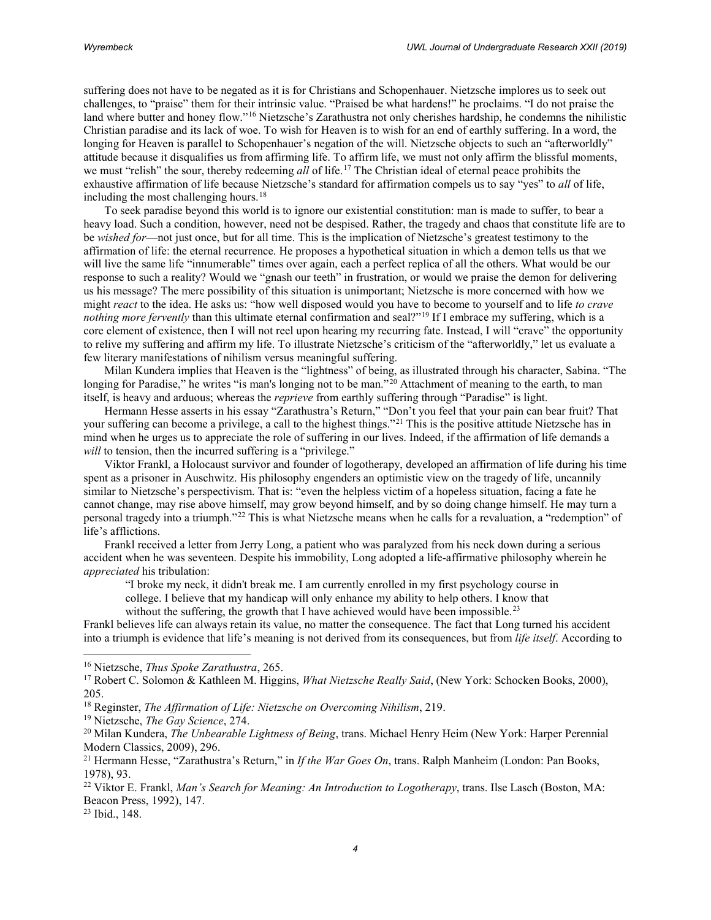suffering does not have to be negated as it is for Christians and Schopenhauer. Nietzsche implores us to seek out challenges, to "praise" them for their intrinsic value. "Praised be what hardens!" he proclaims. "I do not praise the land where butter and honey flow."[16](#page-3-0) Nietzsche's Zarathustra not only cherishes hardship, he condemns the nihilistic Christian paradise and its lack of woe. To wish for Heaven is to wish for an end of earthly suffering. In a word, the longing for Heaven is parallel to Schopenhauer's negation of the will. Nietzsche objects to such an "afterworldly" attitude because it disqualifies us from affirming life. To affirm life, we must not only affirm the blissful moments, we must "relish" the sour, thereby redeeming *all* of life.[17](#page-3-1) The Christian ideal of eternal peace prohibits the exhaustive affirmation of life because Nietzsche's standard for affirmation compels us to say "yes" to *all* of life, including the most challenging hours. $18$ 

To seek paradise beyond this world is to ignore our existential constitution: man is made to suffer, to bear a heavy load. Such a condition, however, need not be despised. Rather, the tragedy and chaos that constitute life are to be *wished for*—not just once, but for all time. This is the implication of Nietzsche's greatest testimony to the affirmation of life: the eternal recurrence. He proposes a hypothetical situation in which a demon tells us that we will live the same life "innumerable" times over again, each a perfect replica of all the others. What would be our response to such a reality? Would we "gnash our teeth" in frustration, or would we praise the demon for delivering us his message? The mere possibility of this situation is unimportant; Nietzsche is more concerned with how we might *react* to the idea. He asks us: "how well disposed would you have to become to yourself and to life *to crave nothing more fervently* than this ultimate eternal confirmation and seal?"<sup>[19](#page-3-3)</sup> If I embrace my suffering, which is a core element of existence, then I will not reel upon hearing my recurring fate. Instead, I will "crave" the opportunity to relive my suffering and affirm my life. To illustrate Nietzsche's criticism of the "afterworldly," let us evaluate a few literary manifestations of nihilism versus meaningful suffering.

Milan Kundera implies that Heaven is the "lightness" of being, as illustrated through his character, Sabina. "The longing for Paradise," he writes "is man's longing not to be man."<sup>[20](#page-3-4)</sup> Attachment of meaning to the earth, to man itself, is heavy and arduous; whereas the *reprieve* from earthly suffering through "Paradise" is light.

Hermann Hesse asserts in his essay "Zarathustra's Return," "Don't you feel that your pain can bear fruit? That your suffering can become a privilege, a call to the highest things."<sup>[21](#page-3-5)</sup> This is the positive attitude Nietzsche has in mind when he urges us to appreciate the role of suffering in our lives. Indeed, if the affirmation of life demands a *will* to tension, then the incurred suffering is a "privilege."

Viktor Frankl, a Holocaust survivor and founder of logotherapy, developed an affirmation of life during his time spent as a prisoner in Auschwitz. His philosophy engenders an optimistic view on the tragedy of life, uncannily similar to Nietzsche's perspectivism. That is: "even the helpless victim of a hopeless situation, facing a fate he cannot change, may rise above himself, may grow beyond himself, and by so doing change himself. He may turn a personal tragedy into a triumph."[22](#page-3-6) This is what Nietzsche means when he calls for a revaluation, a "redemption" of life's afflictions.

Frankl received a letter from Jerry Long, a patient who was paralyzed from his neck down during a serious accident when he was seventeen. Despite his immobility, Long adopted a life-affirmative philosophy wherein he *appreciated* his tribulation:

"I broke my neck, it didn't break me. I am currently enrolled in my first psychology course in college. I believe that my handicap will only enhance my ability to help others. I know that

without the suffering, the growth that I have achieved would have been impossible.<sup>[23](#page-3-7)</sup>

Frankl believes life can always retain its value, no matter the consequence. The fact that Long turned his accident into a triumph is evidence that life's meaning is not derived from its consequences, but from *life itself*. According to

<span id="page-3-7"></span><sup>23</sup> Ibid., 148.

<span id="page-3-0"></span><sup>16</sup> Nietzsche, *Thus Spoke Zarathustra*, 265.

<span id="page-3-1"></span><sup>17</sup> Robert C. Solomon & Kathleen M. Higgins, *What Nietzsche Really Said*, (New York: Schocken Books, 2000), 205.

<span id="page-3-2"></span><sup>18</sup> Reginster, *The Affirmation of Life: Nietzsche on Overcoming Nihilism*, 219.

<span id="page-3-4"></span><span id="page-3-3"></span><sup>&</sup>lt;sup>19</sup> Nietzsche, *The Gay Science*, 274.<br><sup>20</sup> Milan Kundera, *The Unbearable Lightness of Being*, trans. Michael Henry Heim (New York: Harper Perennial Modern Classics, 2009), 296.<br><sup>21</sup> Hermann Hesse, "Zarathustra's Return," in *If the War Goes On*, trans. Ralph Manheim (London: Pan Books,

<span id="page-3-5"></span><sup>1978), 93.</sup>

<span id="page-3-6"></span><sup>22</sup> Viktor E. Frankl, *Man's Search for Meaning: An Introduction to Logotherapy*, trans. Ilse Lasch (Boston, MA: Beacon Press, 1992), 147.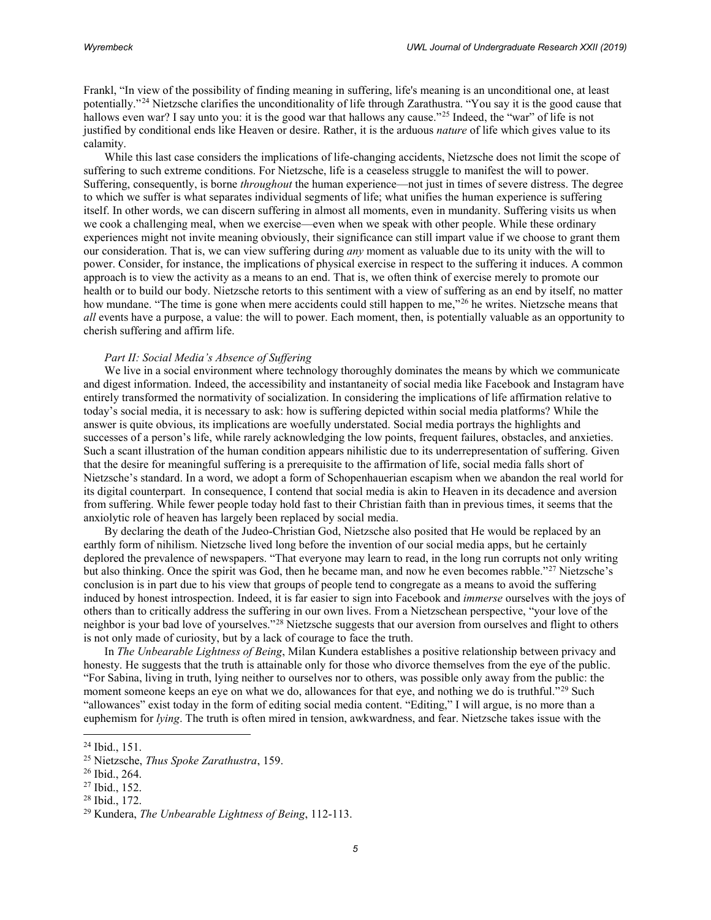Frankl, "In view of the possibility of finding meaning in suffering, life's meaning is an unconditional one, at least potentially."[24](#page-4-0) Nietzsche clarifies the unconditionality of life through Zarathustra. "You say it is the good cause that hallows even war? I say unto you: it is the good war that hallows any cause."<sup>[25](#page-4-1)</sup> Indeed, the "war" of life is not justified by conditional ends like Heaven or desire. Rather, it is the arduous *nature* of life which gives value to its calamity.

While this last case considers the implications of life-changing accidents, Nietzsche does not limit the scope of suffering to such extreme conditions. For Nietzsche, life is a ceaseless struggle to manifest the will to power. Suffering, consequently, is borne *throughout* the human experience—not just in times of severe distress. The degree to which we suffer is what separates individual segments of life; what unifies the human experience is suffering itself. In other words, we can discern suffering in almost all moments, even in mundanity. Suffering visits us when we cook a challenging meal, when we exercise—even when we speak with other people. While these ordinary experiences might not invite meaning obviously, their significance can still impart value if we choose to grant them our consideration. That is, we can view suffering during *any* moment as valuable due to its unity with the will to power. Consider, for instance, the implications of physical exercise in respect to the suffering it induces. A common approach is to view the activity as a means to an end. That is, we often think of exercise merely to promote our health or to build our body. Nietzsche retorts to this sentiment with a view of suffering as an end by itself, no matter how mundane. "The time is gone when mere accidents could still happen to me,"<sup>[26](#page-4-2)</sup> he writes. Nietzsche means that *all* events have a purpose, a value: the will to power. Each moment, then, is potentially valuable as an opportunity to cherish suffering and affirm life.

#### *Part II: Social Media's Absence of Suffering*

We live in a social environment where technology thoroughly dominates the means by which we communicate and digest information. Indeed, the accessibility and instantaneity of social media like Facebook and Instagram have entirely transformed the normativity of socialization. In considering the implications of life affirmation relative to today's social media, it is necessary to ask: how is suffering depicted within social media platforms? While the answer is quite obvious, its implications are woefully understated. Social media portrays the highlights and successes of a person's life, while rarely acknowledging the low points, frequent failures, obstacles, and anxieties. Such a scant illustration of the human condition appears nihilistic due to its underrepresentation of suffering. Given that the desire for meaningful suffering is a prerequisite to the affirmation of life, social media falls short of Nietzsche's standard. In a word, we adopt a form of Schopenhauerian escapism when we abandon the real world for its digital counterpart. In consequence, I contend that social media is akin to Heaven in its decadence and aversion from suffering. While fewer people today hold fast to their Christian faith than in previous times, it seems that the anxiolytic role of heaven has largely been replaced by social media.

By declaring the death of the Judeo-Christian God, Nietzsche also posited that He would be replaced by an earthly form of nihilism. Nietzsche lived long before the invention of our social media apps, but he certainly deplored the prevalence of newspapers. "That everyone may learn to read, in the long run corrupts not only writing but also thinking. Once the spirit was God, then he became man, and now he even becomes rabble."[27](#page-4-3) Nietzsche's conclusion is in part due to his view that groups of people tend to congregate as a means to avoid the suffering induced by honest introspection. Indeed, it is far easier to sign into Facebook and *immerse* ourselves with the joys of others than to critically address the suffering in our own lives. From a Nietzschean perspective, "your love of the neighbor is your bad love of yourselves."[28](#page-4-4) Nietzsche suggests that our aversion from ourselves and flight to others is not only made of curiosity, but by a lack of courage to face the truth.

In *The Unbearable Lightness of Being*, Milan Kundera establishes a positive relationship between privacy and honesty. He suggests that the truth is attainable only for those who divorce themselves from the eye of the public. "For Sabina, living in truth, lying neither to ourselves nor to others, was possible only away from the public: the moment someone keeps an eye on what we do, allowances for that eye, and nothing we do is truthful."<sup>[29](#page-4-5)</sup> Such "allowances" exist today in the form of editing social media content. "Editing," I will argue, is no more than a euphemism for *lying*. The truth is often mired in tension, awkwardness, and fear. Nietzsche takes issue with the

<span id="page-4-1"></span><span id="page-4-0"></span><sup>24</sup> Ibid., 151. 25 Nietzsche, *Thus Spoke Zarathustra*, 159. 26 Ibid., 264.

<span id="page-4-5"></span><span id="page-4-4"></span>

<span id="page-4-3"></span><span id="page-4-2"></span><sup>27</sup> Ibid., 152. 28 Ibid., 172. 29 Kundera, *The Unbearable Lightness of Being*, 112-113.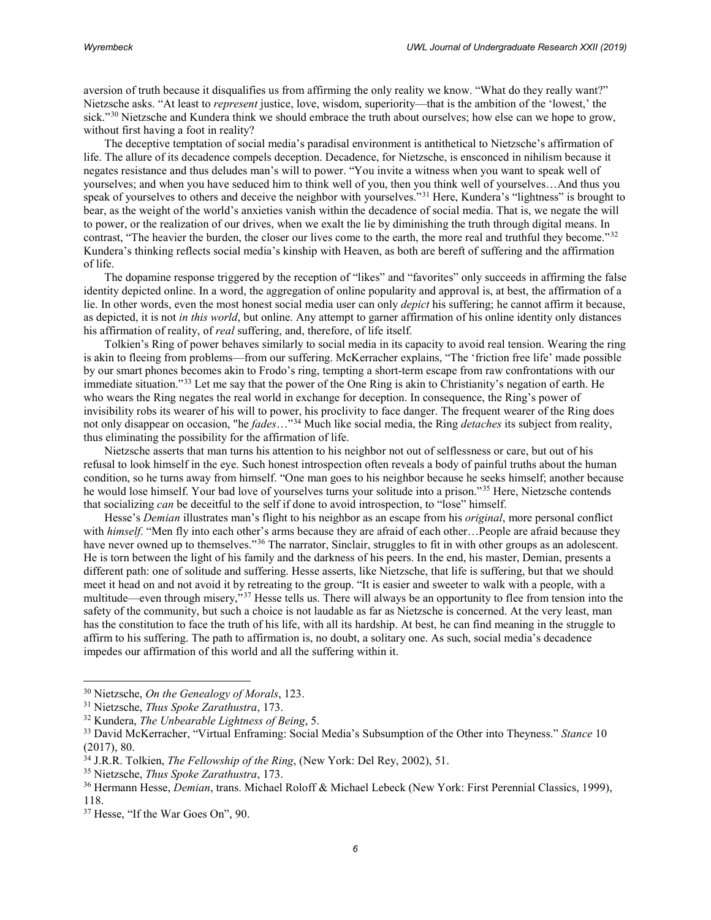aversion of truth because it disqualifies us from affirming the only reality we know. "What do they really want?" Nietzsche asks. "At least to *represent* justice, love, wisdom, superiority—that is the ambition of the 'lowest,' the sick."<sup>[30](#page-5-0)</sup> Nietzsche and Kundera think we should embrace the truth about ourselves; how else can we hope to grow, without first having a foot in reality?

The deceptive temptation of social media's paradisal environment is antithetical to Nietzsche's affirmation of life. The allure of its decadence compels deception. Decadence, for Nietzsche, is ensconced in nihilism because it negates resistance and thus deludes man's will to power. "You invite a witness when you want to speak well of yourselves; and when you have seduced him to think well of you, then you think well of yourselves…And thus you speak of yourselves to others and deceive the neighbor with yourselves."[31](#page-5-1) Here, Kundera's "lightness" is brought to bear, as the weight of the world's anxieties vanish within the decadence of social media. That is, we negate the will to power, or the realization of our drives, when we exalt the lie by diminishing the truth through digital means. In contrast, "The heavier the burden, the closer our lives come to the earth, the more real and truthful they become."<sup>[32](#page-5-2)</sup> Kundera's thinking reflects social media's kinship with Heaven, as both are bereft of suffering and the affirmation of life.

The dopamine response triggered by the reception of "likes" and "favorites" only succeeds in affirming the false identity depicted online. In a word, the aggregation of online popularity and approval is, at best, the affirmation of a lie. In other words, even the most honest social media user can only *depict* his suffering; he cannot affirm it because, as depicted, it is not *in this world*, but online. Any attempt to garner affirmation of his online identity only distances his affirmation of reality, of *real* suffering, and, therefore, of life itself.

Tolkien's Ring of power behaves similarly to social media in its capacity to avoid real tension. Wearing the ring is akin to fleeing from problems—from our suffering. McKerracher explains, "The 'friction free life' made possible by our smart phones becomes akin to Frodo's ring, tempting a short-term escape from raw confrontations with our immediate situation."[33](#page-5-3) Let me say that the power of the One Ring is akin to Christianity's negation of earth. He who wears the Ring negates the real world in exchange for deception. In consequence, the Ring's power of invisibility robs its wearer of his will to power, his proclivity to face danger. The frequent wearer of the Ring does not only disappear on occasion, "he *fades*…"[34](#page-5-4) Much like social media, the Ring *detaches* its subject from reality, thus eliminating the possibility for the affirmation of life.

Nietzsche asserts that man turns his attention to his neighbor not out of selflessness or care, but out of his refusal to look himself in the eye. Such honest introspection often reveals a body of painful truths about the human condition, so he turns away from himself. "One man goes to his neighbor because he seeks himself; another because he would lose himself. Your bad love of yourselves turns your solitude into a prison."<sup>[35](#page-5-5)</sup> Here, Nietzsche contends that socializing *can* be deceitful to the self if done to avoid introspection, to "lose" himself.

Hesse's *Demian* illustrates man's flight to his neighbor as an escape from his *original*, more personal conflict with *himself*. "Men fly into each other's arms because they are afraid of each other...People are afraid because they have never owned up to themselves."<sup>[36](#page-5-6)</sup> The narrator, Sinclair, struggles to fit in with other groups as an adolescent. He is torn between the light of his family and the darkness of his peers. In the end, his master, Demian, presents a different path: one of solitude and suffering. Hesse asserts, like Nietzsche, that life is suffering, but that we should meet it head on and not avoid it by retreating to the group. "It is easier and sweeter to walk with a people, with a multitude—even through misery,"[37](#page-5-7) Hesse tells us. There will always be an opportunity to flee from tension into the safety of the community, but such a choice is not laudable as far as Nietzsche is concerned. At the very least, man has the constitution to face the truth of his life, with all its hardship. At best, he can find meaning in the struggle to affirm to his suffering. The path to affirmation is, no doubt, a solitary one. As such, social media's decadence impedes our affirmation of this world and all the suffering within it.

 $\overline{\phantom{a}}$ 

<span id="page-5-0"></span><sup>30</sup> Nietzsche, *On the Genealogy of Morals*, 123.

<span id="page-5-1"></span>

<span id="page-5-2"></span><sup>&</sup>lt;sup>32</sup> Kundera, *The Unbearable Lightness of Being*, 5.

<span id="page-5-3"></span><sup>33</sup> David McKerracher, "Virtual Enframing: Social Media's Subsumption of the Other into Theyness." *Stance* 10 (2017), 80.

<span id="page-5-4"></span><sup>34</sup> J.R.R. Tolkien, *The Fellowship of the Ring*, (New York: Del Rey, 2002), 51.

<span id="page-5-5"></span><sup>35</sup> Nietzsche, *Thus Spoke Zarathustra*, 173.

<span id="page-5-6"></span><sup>36</sup> Hermann Hesse, *Demian*, trans. Michael Roloff & Michael Lebeck (New York: First Perennial Classics, 1999), 118.

<span id="page-5-7"></span><sup>37</sup> Hesse, "If the War Goes On", 90.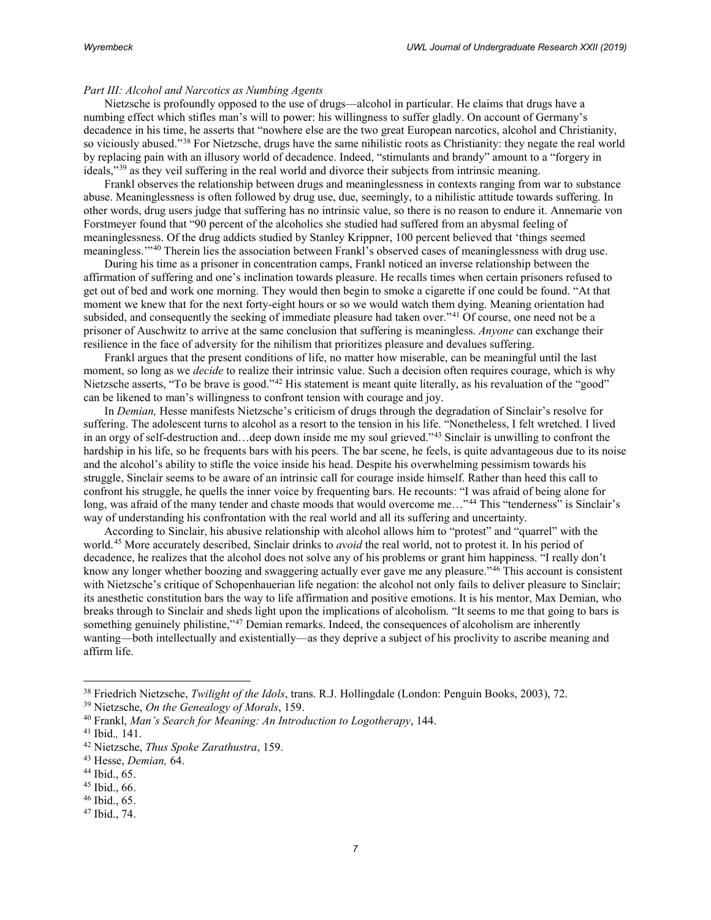## *Part III: Alcohol and Narcotics as Numbing Agents*

Nietzsche is profoundly opposed to the use of drugs—alcohol in particular. He claims that drugs have a numbing effect which stifles man's will to power: his willingness to suffer gladly. On account of Germany's decadence in his time, he asserts that "nowhere else are the two great European narcotics, alcohol and Christianity, so viciously abused."[38](#page-6-0) For Nietzsche, drugs have the same nihilistic roots as Christianity: they negate the real world by replacing pain with an illusory world of decadence. Indeed, "stimulants and brandy" amount to a "forgery in ideals,"[39](#page-6-1) as they veil suffering in the real world and divorce their subjects from intrinsic meaning.

Frankl observes the relationship between drugs and meaninglessness in contexts ranging from war to substance abuse. Meaninglessness is often followed by drug use, due, seemingly, to a nihilistic attitude towards suffering. In other words, drug users judge that suffering has no intrinsic value, so there is no reason to endure it. Annemarie von Forstmeyer found that "90 percent of the alcoholics she studied had suffered from an abysmal feeling of meaninglessness. Of the drug addicts studied by Stanley Krippner, 100 percent believed that 'things seemed meaningless.'"[40](#page-6-2) Therein lies the association between Frankl's observed cases of meaninglessness with drug use.

During his time as a prisoner in concentration camps, Frankl noticed an inverse relationship between the affirmation of suffering and one's inclination towards pleasure. He recalls times when certain prisoners refused to get out of bed and work one morning. They would then begin to smoke a cigarette if one could be found. "At that moment we knew that for the next forty-eight hours or so we would watch them dying. Meaning orientation had subsided, and consequently the seeking of immediate pleasure had taken over."<sup>[41](#page-6-3)</sup> Of course, one need not be a prisoner of Auschwitz to arrive at the same conclusion that suffering is meaningless. *Anyone* can exchange their resilience in the face of adversity for the nihilism that prioritizes pleasure and devalues suffering.

Frankl argues that the present conditions of life, no matter how miserable, can be meaningful until the last moment, so long as we *decide* to realize their intrinsic value. Such a decision often requires courage, which is why Nietzsche asserts, "To be brave is good."[42](#page-6-4) His statement is meant quite literally, as his revaluation of the "good" can be likened to man's willingness to confront tension with courage and joy.

In *Demian,* Hesse manifests Nietzsche's criticism of drugs through the degradation of Sinclair's resolve for suffering. The adolescent turns to alcohol as a resort to the tension in his life. "Nonetheless, I felt wretched. I lived in an orgy of self-destruction and…deep down inside me my soul grieved."[43](#page-6-5) Sinclair is unwilling to confront the hardship in his life, so he frequents bars with his peers. The bar scene, he feels, is quite advantageous due to its noise and the alcohol's ability to stifle the voice inside his head. Despite his overwhelming pessimism towards his struggle, Sinclair seems to be aware of an intrinsic call for courage inside himself. Rather than heed this call to confront his struggle, he quells the inner voice by frequenting bars. He recounts: "I was afraid of being alone for long, was afraid of the many tender and chaste moods that would overcome me..."<sup>[44](#page-6-6)</sup> This "tenderness" is Sinclair's way of understanding his confrontation with the real world and all its suffering and uncertainty.

According to Sinclair, his abusive relationship with alcohol allows him to "protest" and "quarrel" with the world.[45](#page-6-7) More accurately described, Sinclair drinks to *avoid* the real world, not to protest it. In his period of decadence, he realizes that the alcohol does not solve any of his problems or grant him happiness. "I really don't know any longer whether boozing and swaggering actually ever gave me any pleasure."[46](#page-6-8) This account is consistent with Nietzsche's critique of Schopenhauerian life negation: the alcohol not only fails to deliver pleasure to Sinclair; its anesthetic constitution bars the way to life affirmation and positive emotions. It is his mentor, Max Demian, who breaks through to Sinclair and sheds light upon the implications of alcoholism. "It seems to me that going to bars is something genuinely philistine,"<sup>[47](#page-6-9)</sup> Demian remarks. Indeed, the consequences of alcoholism are inherently wanting—both intellectually and existentially—as they deprive a subject of his proclivity to ascribe meaning and affirm life.

 $\overline{\phantom{a}}$ 

<span id="page-6-0"></span><sup>38</sup> Friedrich Nietzsche, *Twilight of the Idols*, trans. R.J. Hollingdale (London: Penguin Books, 2003), 72. 39 Nietzsche, *On the Genealogy of Morals*, 159.

<span id="page-6-1"></span>

<span id="page-6-2"></span><sup>40</sup> Frankl, *Man's Search for Meaning: An Introduction to Logotherapy*, 144.

<span id="page-6-3"></span><sup>41</sup> Ibid.*,* 141.

<span id="page-6-4"></span><sup>42</sup> Nietzsche, *Thus Spoke Zarathustra*, 159.

<span id="page-6-5"></span><sup>43</sup> Hesse, *Demian,* 64.

<span id="page-6-6"></span><sup>44</sup> Ibid., 65.

<span id="page-6-7"></span><sup>45</sup> Ibid., 66.

<span id="page-6-8"></span><sup>46</sup> Ibid., 65.

<span id="page-6-9"></span><sup>47</sup> Ibid., 74.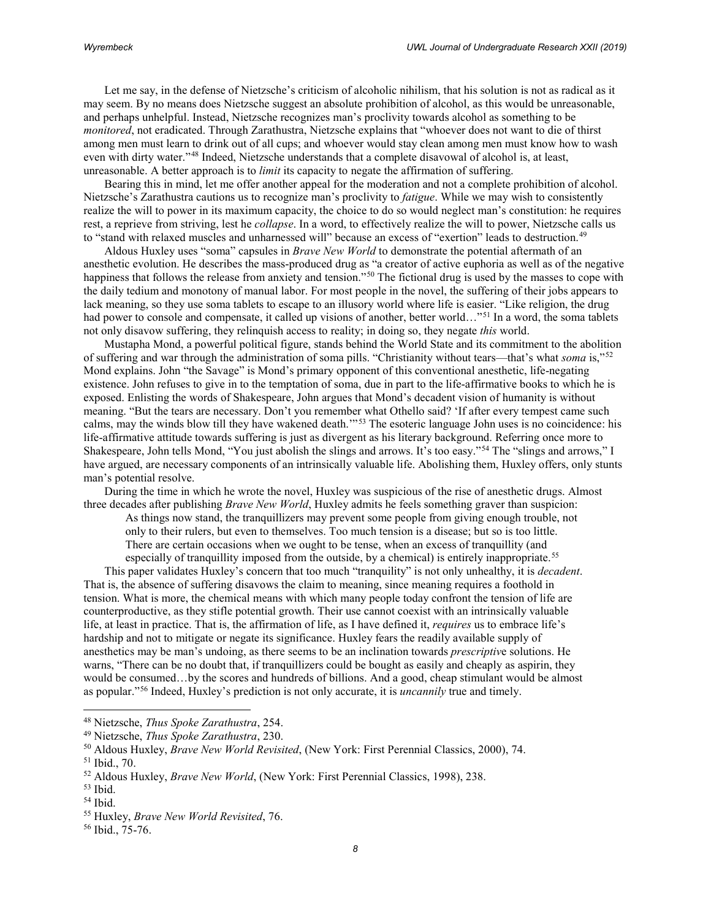Let me say, in the defense of Nietzsche's criticism of alcoholic nihilism, that his solution is not as radical as it may seem. By no means does Nietzsche suggest an absolute prohibition of alcohol, as this would be unreasonable, and perhaps unhelpful. Instead, Nietzsche recognizes man's proclivity towards alcohol as something to be *monitored*, not eradicated. Through Zarathustra, Nietzsche explains that "whoever does not want to die of thirst among men must learn to drink out of all cups; and whoever would stay clean among men must know how to wash even with dirty water."[48](#page-7-0) Indeed, Nietzsche understands that a complete disavowal of alcohol is, at least, unreasonable. A better approach is to *limit* its capacity to negate the affirmation of suffering.

Bearing this in mind, let me offer another appeal for the moderation and not a complete prohibition of alcohol. Nietzsche's Zarathustra cautions us to recognize man's proclivity to *fatigue*. While we may wish to consistently realize the will to power in its maximum capacity, the choice to do so would neglect man's constitution: he requires rest, a reprieve from striving, lest he *collapse*. In a word, to effectively realize the will to power, Nietzsche calls us to "stand with relaxed muscles and unharnessed will" because an excess of "exertion" leads to destruction.[49](#page-7-1)

Aldous Huxley uses "soma" capsules in *Brave New World* to demonstrate the potential aftermath of an anesthetic evolution. He describes the mass-produced drug as "a creator of active euphoria as well as of the negative happiness that follows the release from anxiety and tension."<sup>[50](#page-7-2)</sup> The fictional drug is used by the masses to cope with the daily tedium and monotony of manual labor. For most people in the novel, the suffering of their jobs appears to lack meaning, so they use soma tablets to escape to an illusory world where life is easier. "Like religion, the drug had power to console and compensate, it called up visions of another, better world…"<sup>[51](#page-7-3)</sup> In a word, the soma tablets not only disavow suffering, they relinquish access to reality; in doing so, they negate *this* world.

Mustapha Mond, a powerful political figure, stands behind the World State and its commitment to the abolition of suffering and war through the administration of soma pills. "Christianity without tears—that's what *soma* is,"[52](#page-7-4) Mond explains. John "the Savage" is Mond's primary opponent of this conventional anesthetic, life-negating existence. John refuses to give in to the temptation of soma, due in part to the life-affirmative books to which he is exposed. Enlisting the words of Shakespeare, John argues that Mond's decadent vision of humanity is without meaning. "But the tears are necessary. Don't you remember what Othello said? 'If after every tempest came such calms, may the winds blow till they have wakened death.'"[53](#page-7-5) The esoteric language John uses is no coincidence: his life-affirmative attitude towards suffering is just as divergent as his literary background. Referring once more to Shakespeare, John tells Mond, "You just abolish the slings and arrows. It's too easy."[54](#page-7-6) The "slings and arrows," I have argued, are necessary components of an intrinsically valuable life. Abolishing them, Huxley offers, only stunts man's potential resolve.

During the time in which he wrote the novel, Huxley was suspicious of the rise of anesthetic drugs. Almost three decades after publishing *Brave New World*, Huxley admits he feels something graver than suspicion:

As things now stand, the tranquillizers may prevent some people from giving enough trouble, not only to their rulers, but even to themselves. Too much tension is a disease; but so is too little. There are certain occasions when we ought to be tense, when an excess of tranquillity (and especially of tranquillity imposed from the outside, by a chemical) is entirely inappropriate.<sup>[55](#page-7-7)</sup>

This paper validates Huxley's concern that too much "tranquility" is not only unhealthy, it is *decadent*. That is, the absence of suffering disavows the claim to meaning, since meaning requires a foothold in tension. What is more, the chemical means with which many people today confront the tension of life are counterproductive, as they stifle potential growth. Their use cannot coexist with an intrinsically valuable life, at least in practice. That is, the affirmation of life, as I have defined it, *requires* us to embrace life's hardship and not to mitigate or negate its significance. Huxley fears the readily available supply of anesthetics may be man's undoing, as there seems to be an inclination towards *prescriptiv*e solutions. He warns, "There can be no doubt that, if tranquillizers could be bought as easily and cheaply as aspirin, they would be consumed…by the scores and hundreds of billions. And a good, cheap stimulant would be almost as popular."[56](#page-7-8) Indeed, Huxley's prediction is not only accurate, it is *uncannily* true and timely.

<span id="page-7-1"></span><span id="page-7-0"></span><sup>48</sup> Nietzsche, *Thus Spoke Zarathustra*, 254.

<span id="page-7-2"></span><sup>&</sup>lt;sup>50</sup> Aldous Huxley, *Brave New World Revisited*, (New York: First Perennial Classics, 2000), 74.

<span id="page-7-3"></span><sup>51</sup> Ibid., 70.

<span id="page-7-4"></span><sup>52</sup> Aldous Huxley, *Brave New World*, (New York: First Perennial Classics, 1998), 238.

<span id="page-7-5"></span><sup>53</sup> Ibid.

<span id="page-7-6"></span><sup>54</sup> Ibid.

<span id="page-7-7"></span><sup>55</sup> Huxley, *Brave New World Revisited*, 76.

<span id="page-7-8"></span><sup>56</sup> Ibid., 75-76.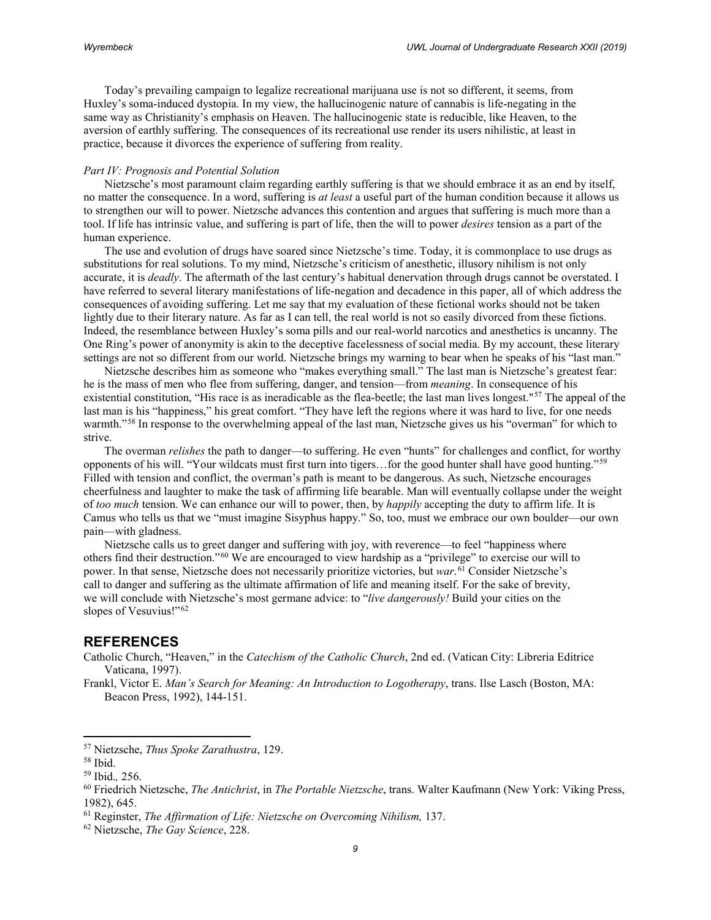Today's prevailing campaign to legalize recreational marijuana use is not so different, it seems, from Huxley's soma-induced dystopia. In my view, the hallucinogenic nature of cannabis is life-negating in the same way as Christianity's emphasis on Heaven. The hallucinogenic state is reducible, like Heaven, to the aversion of earthly suffering. The consequences of its recreational use render its users nihilistic, at least in practice, because it divorces the experience of suffering from reality.

#### *Part IV: Prognosis and Potential Solution*

Nietzsche's most paramount claim regarding earthly suffering is that we should embrace it as an end by itself, no matter the consequence. In a word, suffering is *at least* a useful part of the human condition because it allows us to strengthen our will to power. Nietzsche advances this contention and argues that suffering is much more than a tool. If life has intrinsic value, and suffering is part of life, then the will to power *desires* tension as a part of the human experience.

The use and evolution of drugs have soared since Nietzsche's time. Today, it is commonplace to use drugs as substitutions for real solutions. To my mind, Nietzsche's criticism of anesthetic, illusory nihilism is not only accurate, it is *deadly*. The aftermath of the last century's habitual denervation through drugs cannot be overstated. I have referred to several literary manifestations of life-negation and decadence in this paper, all of which address the consequences of avoiding suffering. Let me say that my evaluation of these fictional works should not be taken lightly due to their literary nature. As far as I can tell, the real world is not so easily divorced from these fictions. Indeed, the resemblance between Huxley's soma pills and our real-world narcotics and anesthetics is uncanny. The One Ring's power of anonymity is akin to the deceptive facelessness of social media. By my account, these literary settings are not so different from our world. Nietzsche brings my warning to bear when he speaks of his "last man."

Nietzsche describes him as someone who "makes everything small." The last man is Nietzsche's greatest fear: he is the mass of men who flee from suffering, danger, and tension—from *meaning*. In consequence of his existential constitution, "His race is as ineradicable as the flea-beetle; the last man lives longest."<sup>[57](#page-8-0)</sup> The appeal of the last man is his "happiness," his great comfort. "They have left the regions where it was hard to live, for one needs warmth."<sup>[58](#page-8-1)</sup> In response to the overwhelming appeal of the last man, Nietzsche gives us his "overman" for which to strive.

The overman *relishes* the path to danger—to suffering. He even "hunts" for challenges and conflict, for worthy opponents of his will. "Your wildcats must first turn into tigers…for the good hunter shall have good hunting."[59](#page-8-2) Filled with tension and conflict, the overman's path is meant to be dangerous. As such, Nietzsche encourages cheerfulness and laughter to make the task of affirming life bearable. Man will eventually collapse under the weight of *too much* tension. We can enhance our will to power, then, by *happily* accepting the duty to affirm life. It is Camus who tells us that we "must imagine Sisyphus happy." So, too, must we embrace our own boulder—our own pain—with gladness.

Nietzsche calls us to greet danger and suffering with joy, with reverence—to feel "happiness where others find their destruction."[60](#page-8-3) We are encouraged to view hardship as a "privilege" to exercise our will to power. In that sense, Nietzsche does not necessarily prioritize victories, but *war*. [61](#page-8-4) Consider Nietzsche's call to danger and suffering as the ultimate affirmation of life and meaning itself. For the sake of brevity, we will conclude with Nietzsche's most germane advice: to "*live dangerously!* Build your cities on the slopes of Vesuvius!"<sup>[62](#page-8-5)</sup>

## **REFERENCES**

- Catholic Church, "Heaven," in the *Catechism of the Catholic Church*, 2nd ed. (Vatican City: Libreria Editrice Vaticana, 1997).
- Frankl, Victor E. *Man's Search for Meaning: An Introduction to Logotherapy*, trans. Ilse Lasch (Boston, MA: Beacon Press, 1992), 144-151.

<span id="page-8-0"></span><sup>57</sup> Nietzsche, *Thus Spoke Zarathustra*, 129.

<span id="page-8-1"></span><sup>58</sup> Ibid.

<span id="page-8-3"></span><span id="page-8-2"></span><sup>59</sup> Ibid.*,* 256. 60 Friedrich Nietzsche, *The Antichrist*, in *The Portable Nietzsche*, trans. Walter Kaufmann (New York: Viking Press, 1982), 645.

<span id="page-8-4"></span><sup>61</sup> Reginster, *The Affirmation of Life: Nietzsche on Overcoming Nihilism,* 137.

<span id="page-8-5"></span><sup>62</sup> Nietzsche, *The Gay Science*, 228.